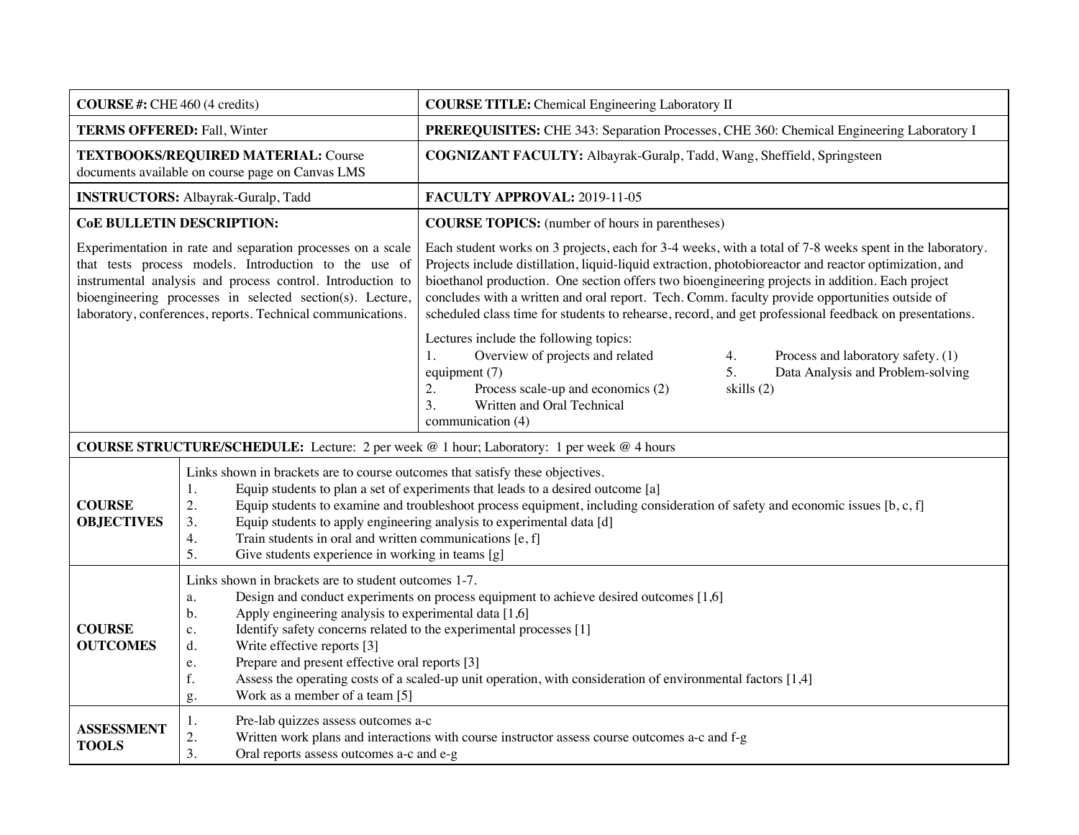| <b>COURSE</b> #: CHE 460 (4 credits)                                                                                                                                                                                                                                                                           |                                                                                                                                                                                                                                                                                                                                                                                                                                                                                                                                                                      | <b>COURSE TITLE:</b> Chemical Engineering Laboratory II                                                                                                                                                                                                                                                                                                                                                                                                                                                                           |  |
|----------------------------------------------------------------------------------------------------------------------------------------------------------------------------------------------------------------------------------------------------------------------------------------------------------------|----------------------------------------------------------------------------------------------------------------------------------------------------------------------------------------------------------------------------------------------------------------------------------------------------------------------------------------------------------------------------------------------------------------------------------------------------------------------------------------------------------------------------------------------------------------------|-----------------------------------------------------------------------------------------------------------------------------------------------------------------------------------------------------------------------------------------------------------------------------------------------------------------------------------------------------------------------------------------------------------------------------------------------------------------------------------------------------------------------------------|--|
| <b>TERMS OFFERED: Fall, Winter</b>                                                                                                                                                                                                                                                                             |                                                                                                                                                                                                                                                                                                                                                                                                                                                                                                                                                                      | PREREQUISITES: CHE 343: Separation Processes, CHE 360: Chemical Engineering Laboratory I                                                                                                                                                                                                                                                                                                                                                                                                                                          |  |
| TEXTBOOKS/REQUIRED MATERIAL: Course<br>documents available on course page on Canvas LMS                                                                                                                                                                                                                        |                                                                                                                                                                                                                                                                                                                                                                                                                                                                                                                                                                      | COGNIZANT FACULTY: Albayrak-Guralp, Tadd, Wang, Sheffield, Springsteen                                                                                                                                                                                                                                                                                                                                                                                                                                                            |  |
| <b>INSTRUCTORS: Albayrak-Guralp, Tadd</b>                                                                                                                                                                                                                                                                      |                                                                                                                                                                                                                                                                                                                                                                                                                                                                                                                                                                      | FACULTY APPROVAL: 2019-11-05                                                                                                                                                                                                                                                                                                                                                                                                                                                                                                      |  |
| <b>CoE BULLETIN DESCRIPTION:</b>                                                                                                                                                                                                                                                                               |                                                                                                                                                                                                                                                                                                                                                                                                                                                                                                                                                                      | <b>COURSE TOPICS:</b> (number of hours in parentheses)                                                                                                                                                                                                                                                                                                                                                                                                                                                                            |  |
| Experimentation in rate and separation processes on a scale<br>that tests process models. Introduction to the use of<br>instrumental analysis and process control. Introduction to<br>bioengineering processes in selected section(s). Lecture,<br>laboratory, conferences, reports. Technical communications. |                                                                                                                                                                                                                                                                                                                                                                                                                                                                                                                                                                      | Each student works on 3 projects, each for 3-4 weeks, with a total of 7-8 weeks spent in the laboratory.<br>Projects include distillation, liquid-liquid extraction, photobioreactor and reactor optimization, and<br>bioethanol production. One section offers two bioengineering projects in addition. Each project<br>concludes with a written and oral report. Tech. Comm. faculty provide opportunities outside of<br>scheduled class time for students to rehearse, record, and get professional feedback on presentations. |  |
|                                                                                                                                                                                                                                                                                                                |                                                                                                                                                                                                                                                                                                                                                                                                                                                                                                                                                                      | Lectures include the following topics:<br>Overview of projects and related<br>Process and laboratory safety. (1)<br>4.<br>Data Analysis and Problem-solving<br>equipment (7)<br>5.<br>Process scale-up and economics (2)<br>skills (2)<br>2.<br>3.<br>Written and Oral Technical<br>communication (4)                                                                                                                                                                                                                             |  |
| <b>COURSE STRUCTURE/SCHEDULE:</b> Lecture: 2 per week @ 1 hour; Laboratory: 1 per week @ 4 hours                                                                                                                                                                                                               |                                                                                                                                                                                                                                                                                                                                                                                                                                                                                                                                                                      |                                                                                                                                                                                                                                                                                                                                                                                                                                                                                                                                   |  |
| <b>COURSE</b><br><b>OBJECTIVES</b>                                                                                                                                                                                                                                                                             | Links shown in brackets are to course outcomes that satisfy these objectives.<br>Equip students to plan a set of experiments that leads to a desired outcome [a]<br>1.<br>Equip students to examine and troubleshoot process equipment, including consideration of safety and economic issues [b, c, f]<br>2.<br>Equip students to apply engineering analysis to experimental data [d]<br>3.<br>4.<br>Train students in oral and written communications [e, f]<br>5.<br>Give students experience in working in teams [g]                                             |                                                                                                                                                                                                                                                                                                                                                                                                                                                                                                                                   |  |
| <b>COURSE</b><br><b>OUTCOMES</b>                                                                                                                                                                                                                                                                               | Links shown in brackets are to student outcomes 1-7.<br>Design and conduct experiments on process equipment to achieve desired outcomes [1,6]<br>a.<br>Apply engineering analysis to experimental data [1,6]<br>b.<br>Identify safety concerns related to the experimental processes [1]<br>$\mathbf{c}$ .<br>Write effective reports [3]<br>d.<br>Prepare and present effective oral reports [3]<br>e.<br>Assess the operating costs of a scaled-up unit operation, with consideration of environmental factors [1,4]<br>f.<br>Work as a member of a team [5]<br>g. |                                                                                                                                                                                                                                                                                                                                                                                                                                                                                                                                   |  |
| <b>ASSESSMENT</b><br><b>TOOLS</b>                                                                                                                                                                                                                                                                              | Pre-lab quizzes assess outcomes a-c<br>1.<br>2.<br>3.<br>Oral reports assess outcomes a-c and e-g                                                                                                                                                                                                                                                                                                                                                                                                                                                                    | Written work plans and interactions with course instructor assess course outcomes a-c and f-g                                                                                                                                                                                                                                                                                                                                                                                                                                     |  |